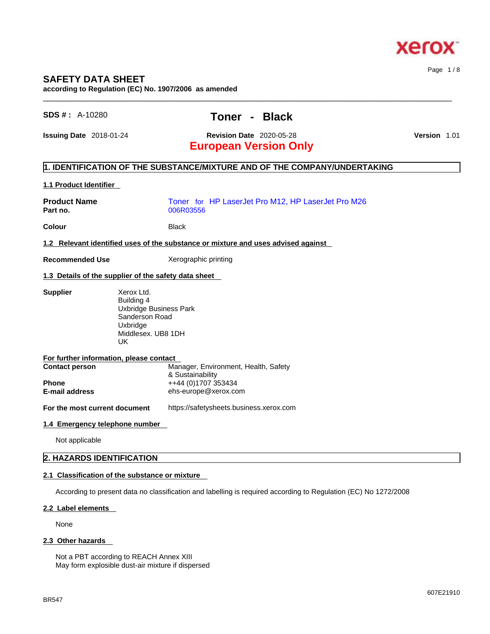

# **SAFETY DATA SHEET**

**according to Regulation (EC) No. 1907/2006 as amended** 

| $SDS #: A-10280$ |  |
|------------------|--|
|------------------|--|

# **SDS # :** A-10280 **Toner - Black**

 $\_$  ,  $\_$  ,  $\_$  ,  $\_$  ,  $\_$  ,  $\_$  ,  $\_$  ,  $\_$  ,  $\_$  ,  $\_$  ,  $\_$  ,  $\_$  ,  $\_$  ,  $\_$  ,  $\_$  ,  $\_$  ,  $\_$  ,  $\_$  ,  $\_$  ,  $\_$  ,  $\_$  ,  $\_$  ,  $\_$  ,  $\_$  ,  $\_$  ,  $\_$  ,  $\_$  ,  $\_$  ,  $\_$  ,  $\_$  ,  $\_$  ,  $\_$  ,  $\_$  ,  $\_$  ,  $\_$  ,  $\_$  ,  $\_$  ,

**Issuing Date** 2018-01-24 **Revision Date** 2020-05-28 **Version** 1.01

# **European Version Only**

## **1. IDENTIFICATION OF THE SUBSTANCE/MIXTURE AND OF THE COMPANY/UNDERTAKING**

### **1.1 Product Identifier**

| <b>Product Name</b><br>Part no.                      | Toner for HP LaserJet Pro M12, HP LaserJet Pro M26<br>006R03556                                        |
|------------------------------------------------------|--------------------------------------------------------------------------------------------------------|
| <b>Colour</b>                                        | <b>Black</b>                                                                                           |
|                                                      | 1.2 Relevant identified uses of the substance or mixture and uses advised against                      |
| <b>Recommended Use</b>                               | Xerographic printing                                                                                   |
| 1.3 Details of the supplier of the safety data sheet |                                                                                                        |
| <b>Supplier</b><br>UK                                | Xerox Ltd.<br>Building 4<br>Uxbridge Business Park<br>Sanderson Road<br>Uxbridge<br>Middlesex, UB8 1DH |
| For further information, please contact              |                                                                                                        |

**Contact person Manager, Environment, Health, Safety** & Sustainability **Phone** ++44 (0)1707 353434 **E-mail address** ehs-europe@xerox.com

**For the most current document** https://safetysheets.business.xerox.com

#### **1.4 Emergency telephone number**

Not applicable

# **2. HAZARDS IDENTIFICATION**

#### **2.1 Classification of the substance or mixture**

According to present data no classification and labelling is required according to Regulation (EC) No 1272/2008

#### **2.2 Label elements**

None

#### **2.3 Other hazards**

Not a PBT according to REACH Annex XIII May form explosible dust-air mixture if dispersed

Page 1 / 8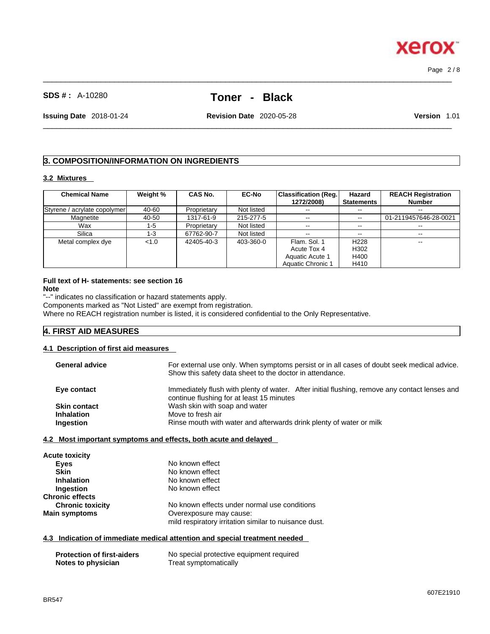607E21910

 $\_$  ,  $\_$  ,  $\_$  ,  $\_$  ,  $\_$  ,  $\_$  ,  $\_$  ,  $\_$  ,  $\_$  ,  $\_$  ,  $\_$  ,  $\_$  ,  $\_$  ,  $\_$  ,  $\_$  ,  $\_$  ,  $\_$  ,  $\_$  ,  $\_$  ,  $\_$  ,  $\_$  ,  $\_$  ,  $\_$  ,  $\_$  ,  $\_$  ,  $\_$  ,  $\_$  ,  $\_$  ,  $\_$  ,  $\_$  ,  $\_$  ,  $\_$  ,  $\_$  ,  $\_$  ,  $\_$  ,  $\_$  ,  $\_$  ,

**SDS # :** A-10280 **Toner - Black**

**Issuing Date** 2018-01-24 **Revision Date** 2020-05-28 **Version** 1.01

 $\_$  ,  $\_$  ,  $\_$  ,  $\_$  ,  $\_$  ,  $\_$  ,  $\_$  ,  $\_$  ,  $\_$  ,  $\_$  ,  $\_$  ,  $\_$  ,  $\_$  ,  $\_$  ,  $\_$  ,  $\_$  ,  $\_$  ,  $\_$  ,  $\_$  ,  $\_$  ,  $\_$  ,  $\_$  ,  $\_$  ,  $\_$  ,  $\_$  ,  $\_$  ,  $\_$  ,  $\_$  ,  $\_$  ,  $\_$  ,  $\_$  ,  $\_$  ,  $\_$  ,  $\_$  ,  $\_$  ,  $\_$  ,  $\_$  ,

# **3. COMPOSITION/INFORMATION ON INGREDIENTS**

#### **3.2 Mixtures**

| <b>Chemical Name</b>         | Weight % | <b>CAS No.</b> | <b>EC-No</b> | Classification (Reg.) | Hazard                   | <b>REACH Registration</b> |
|------------------------------|----------|----------------|--------------|-----------------------|--------------------------|---------------------------|
|                              |          |                |              | 1272/2008)            | <b>Statements</b>        | <b>Number</b>             |
| Styrene / acrylate copolymer | 40-60    | Proprietary    | Not listed   | $- -$                 | --                       | $\overline{\phantom{m}}$  |
| Magnetite                    | 40-50    | 1317-61-9      | 215-277-5    | $\sim$ $\sim$         | $\overline{\phantom{m}}$ | 01-2119457646-28-0021     |
| Wax                          | 1-5      | Proprietary    | Not listed   | $- -$                 | --                       |                           |
| Silica                       | 1-3      | 67762-90-7     | Not listed   | $\sim$ $\sim$         | --                       | $\overline{\phantom{m}}$  |
| Metal complex dye            | < 1.0    | 42405-40-3     | 403-360-0    | Flam, Sol. 1          | H <sub>228</sub>         | --                        |
|                              |          |                |              | Acute Tox 4           | H302                     |                           |
|                              |          |                |              | Aquatic Acute 1       | H400                     |                           |
|                              |          |                |              | Aquatic Chronic 1     | H410                     |                           |

#### **Full text of H- statements: see section 16 Note**

"--" indicates no classification or hazard statements apply.

Components marked as "Not Listed" are exempt from registration.

Where no REACH registration number is listed, it is considered confidential to the Only Representative.

## **4. FIRST AID MEASURES**

#### **4.1 Description of first aid measures**

| <b>General advice</b> | For external use only. When symptoms persist or in all cases of doubt seek medical advice.<br>Show this safety data sheet to the doctor in attendance. |
|-----------------------|--------------------------------------------------------------------------------------------------------------------------------------------------------|
| Eye contact           | Immediately flush with plenty of water. After initial flushing, remove any contact lenses and<br>continue flushing for at least 15 minutes             |
| <b>Skin contact</b>   | Wash skin with soap and water                                                                                                                          |
| <b>Inhalation</b>     | Move to fresh air                                                                                                                                      |
| Ingestion             | Rinse mouth with water and afterwards drink plenty of water or milk                                                                                    |
|                       |                                                                                                                                                        |

#### **4.2 Most important symptoms and effects, both acute and delayed**

| <b>Acute toxicity</b>   |                                                       |  |
|-------------------------|-------------------------------------------------------|--|
| Eyes                    | No known effect                                       |  |
| <b>Skin</b>             | No known effect                                       |  |
| <b>Inhalation</b>       | No known effect                                       |  |
| Ingestion               | No known effect                                       |  |
| <b>Chronic effects</b>  |                                                       |  |
| <b>Chronic toxicity</b> | No known effects under normal use conditions          |  |
| <b>Main symptoms</b>    | Overexposure may cause:                               |  |
|                         | mild respiratory irritation similar to nuisance dust. |  |

### **4.3 Indication of immediate medical attention and special treatment needed**

| <b>Protection of first-aiders</b> | No special protective equipment required |
|-----------------------------------|------------------------------------------|
| Notes to physician                | Treat symptomatically                    |



Page 2 / 8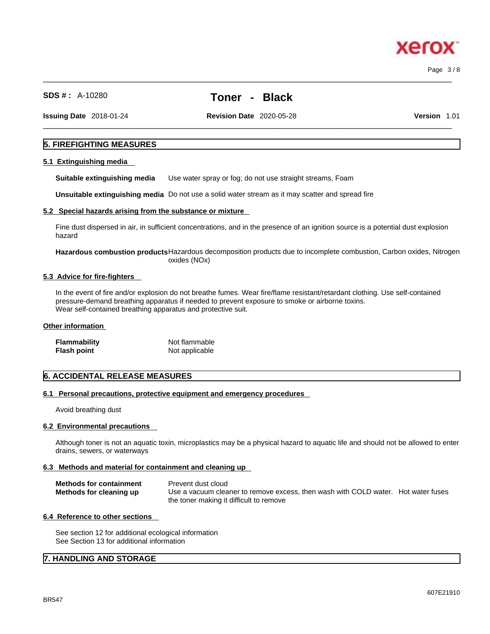Page 3 / 8

xero

**SDS # :** A-10280 **Toner - Black**

**Issuing Date** 2018-01-24 **Revision Date** 2020-05-28 **Version** 1.01

 $\_$  ,  $\_$  ,  $\_$  ,  $\_$  ,  $\_$  ,  $\_$  ,  $\_$  ,  $\_$  ,  $\_$  ,  $\_$  ,  $\_$  ,  $\_$  ,  $\_$  ,  $\_$  ,  $\_$  ,  $\_$  ,  $\_$  ,  $\_$  ,  $\_$  ,  $\_$  ,  $\_$  ,  $\_$  ,  $\_$  ,  $\_$  ,  $\_$  ,  $\_$  ,  $\_$  ,  $\_$  ,  $\_$  ,  $\_$  ,  $\_$  ,  $\_$  ,  $\_$  ,  $\_$  ,  $\_$  ,  $\_$  ,  $\_$  ,

 $\_$  ,  $\_$  ,  $\_$  ,  $\_$  ,  $\_$  ,  $\_$  ,  $\_$  ,  $\_$  ,  $\_$  ,  $\_$  ,  $\_$  ,  $\_$  ,  $\_$  ,  $\_$  ,  $\_$  ,  $\_$  ,  $\_$  ,  $\_$  ,  $\_$  ,  $\_$  ,  $\_$  ,  $\_$  ,  $\_$  ,  $\_$  ,  $\_$  ,  $\_$  ,  $\_$  ,  $\_$  ,  $\_$  ,  $\_$  ,  $\_$  ,  $\_$  ,  $\_$  ,  $\_$  ,  $\_$  ,  $\_$  ,  $\_$  ,

### **5. FIREFIGHTING MEASURES**

#### **5.1 Extinguishing media**

**Suitable extinguishing media** Use water spray or fog; do not use straight streams, Foam

**Unsuitable extinguishing media** Do not use a solid water stream as it may scatterand spread fire

#### **5.2 Special hazards arising from the substance or mixture**

Fine dust dispersed in air, in sufficient concentrations, and in the presence of an ignition source is a potential dust explosion hazard

**Hazardous combustion products**Hazardous decomposition products due to incomplete combustion, Carbon oxides, Nitrogen oxides (NOx)

#### **5.3 Advice for fire-fighters**

In the event of fire and/or explosion do not breathe fumes. Wear fire/flame resistant/retardant clothing. Use self-contained pressure-demand breathing apparatus if needed to prevent exposure to smoke or airborne toxins. Wear self-contained breathing apparatus and protective suit.

## **Other information**

| Flammability | Not flammable  |  |
|--------------|----------------|--|
| Flash point  | Not applicable |  |

#### **6. ACCIDENTAL RELEASE MEASURES**

#### **6.1 Personal precautions, protective equipment and emergency procedures**

Avoid breathing dust

#### **6.2 Environmental precautions**

Although toner is not an aquatic toxin, microplastics may be a physical hazard to aquatic life and should not be allowed to enter drains, sewers, or waterways

#### **6.3 Methods and material for containment and cleaning up**

| <b>Methods for containment</b> | Prevent dust cloud                                                                |
|--------------------------------|-----------------------------------------------------------------------------------|
| Methods for cleaning up        | Use a vacuum cleaner to remove excess, then wash with COLD water. Hot water fuses |
|                                | the toner making it difficult to remove                                           |

#### **6.4 Reference to other sections**

See section 12 for additional ecological information See Section 13 for additional information

## **7. HANDLING AND STORAGE**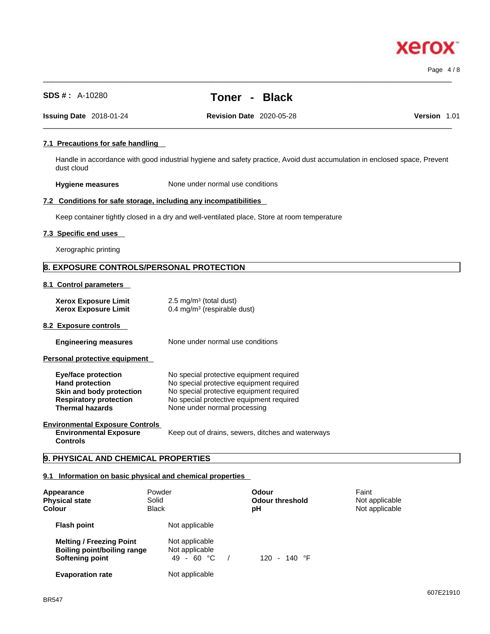**Xerox** 

| 7.1 Precautions for safe handling                                                                                                           |                                                                              |                                                                                                                                                                              |                                                                                                                          |       |
|---------------------------------------------------------------------------------------------------------------------------------------------|------------------------------------------------------------------------------|------------------------------------------------------------------------------------------------------------------------------------------------------------------------------|--------------------------------------------------------------------------------------------------------------------------|-------|
| dust cloud                                                                                                                                  |                                                                              |                                                                                                                                                                              | Handle in accordance with good industrial hygiene and safety practice, Avoid dust accumulation in enclosed space, Prever |       |
| <b>Hygiene measures</b>                                                                                                                     |                                                                              | None under normal use conditions                                                                                                                                             |                                                                                                                          |       |
| 7.2 Conditions for safe storage, including any incompatibilities                                                                            |                                                                              |                                                                                                                                                                              |                                                                                                                          |       |
| Keep container tightly closed in a dry and well-ventilated place, Store at room temperature                                                 |                                                                              |                                                                                                                                                                              |                                                                                                                          |       |
| 7.3 Specific end uses                                                                                                                       |                                                                              |                                                                                                                                                                              |                                                                                                                          |       |
| Xerographic printing                                                                                                                        |                                                                              |                                                                                                                                                                              |                                                                                                                          |       |
| 8. EXPOSURE CONTROLS/PERSONAL PROTECTION                                                                                                    |                                                                              |                                                                                                                                                                              |                                                                                                                          |       |
| 8.1 Control parameters                                                                                                                      |                                                                              |                                                                                                                                                                              |                                                                                                                          |       |
| <b>Xerox Exposure Limit</b><br><b>Xerox Exposure Limit</b>                                                                                  | 2.5 mg/m <sup>3</sup> (total dust)<br>$0.4 \text{ mg/m}^3$ (respirable dust) |                                                                                                                                                                              |                                                                                                                          |       |
| 8.2 Exposure controls                                                                                                                       |                                                                              |                                                                                                                                                                              |                                                                                                                          |       |
| <b>Engineering measures</b>                                                                                                                 |                                                                              | None under normal use conditions                                                                                                                                             |                                                                                                                          |       |
| Personal protective equipment                                                                                                               |                                                                              |                                                                                                                                                                              |                                                                                                                          |       |
| <b>Eye/face protection</b><br><b>Hand protection</b><br>Skin and body protection<br><b>Respiratory protection</b><br><b>Thermal hazards</b> | None under normal processing                                                 | No special protective equipment required<br>No special protective equipment required<br>No special protective equipment required<br>No special protective equipment required |                                                                                                                          |       |
| <b>Environmental Exposure Controls</b><br><b>Environmental Exposure</b><br><b>Controls</b>                                                  |                                                                              | Keep out of drains, sewers, ditches and waterways                                                                                                                            |                                                                                                                          |       |
| 9. PHYSICAL AND CHEMICAL PROPERTIES                                                                                                         |                                                                              |                                                                                                                                                                              |                                                                                                                          |       |
| 9.1 Information on basic physical and chemical properties                                                                                   |                                                                              |                                                                                                                                                                              |                                                                                                                          |       |
| Appearance<br><b>Physical state</b><br>Colour                                                                                               | Powder<br>Solid<br><b>Black</b>                                              | Odour<br><b>Odour threshold</b><br>рH                                                                                                                                        | Faint<br>Not applicable<br>Not applicable                                                                                |       |
| <b>Flash point</b>                                                                                                                          | Not applicable                                                               |                                                                                                                                                                              |                                                                                                                          |       |
| <b>Melting / Freezing Point</b><br><b>Boiling point/boiling range</b><br><b>Softening point</b>                                             | Not applicable<br>Not applicable<br>49 - 60 °C                               | 120 - 140 °F<br>$\sqrt{2}$                                                                                                                                                   |                                                                                                                          |       |
| <b>Evaporation rate</b>                                                                                                                     | Not applicable                                                               |                                                                                                                                                                              |                                                                                                                          |       |
|                                                                                                                                             |                                                                              |                                                                                                                                                                              |                                                                                                                          | 607F2 |

# **SDS # :** A-10280 **Toner - Black**

 $\_$  ,  $\_$  ,  $\_$  ,  $\_$  ,  $\_$  ,  $\_$  ,  $\_$  ,  $\_$  ,  $\_$  ,  $\_$  ,  $\_$  ,  $\_$  ,  $\_$  ,  $\_$  ,  $\_$  ,  $\_$  ,  $\_$  ,  $\_$  ,  $\_$  ,  $\_$  ,  $\_$  ,  $\_$  ,  $\_$  ,  $\_$  ,  $\_$  ,  $\_$  ,  $\_$  ,  $\_$  ,  $\_$  ,  $\_$  ,  $\_$  ,  $\_$  ,  $\_$  ,  $\_$  ,  $\_$  ,  $\_$  ,  $\_$  ,

 $\_$  ,  $\_$  ,  $\_$  ,  $\_$  ,  $\_$  ,  $\_$  ,  $\_$  ,  $\_$  ,  $\_$  ,  $\_$  ,  $\_$  ,  $\_$  ,  $\_$  ,  $\_$  ,  $\_$  ,  $\_$  ,  $\_$  ,  $\_$  ,  $\_$  ,  $\_$  ,  $\_$  ,  $\_$  ,  $\_$  ,  $\_$  ,  $\_$  ,  $\_$  ,  $\_$  ,  $\_$  ,  $\_$  ,  $\_$  ,  $\_$  ,  $\_$  ,  $\_$  ,  $\_$  ,  $\_$  ,  $\_$  ,  $\_$  , **Issuing Date** 2018-01-24 **Revision Date** 2020-05-28 **Version** 1.01

# **7.1 Precautions for safe handling**

Handle in accordance with good industrial hygiene and safety practice, Avoid dust accumulation in enclosed space, Prevent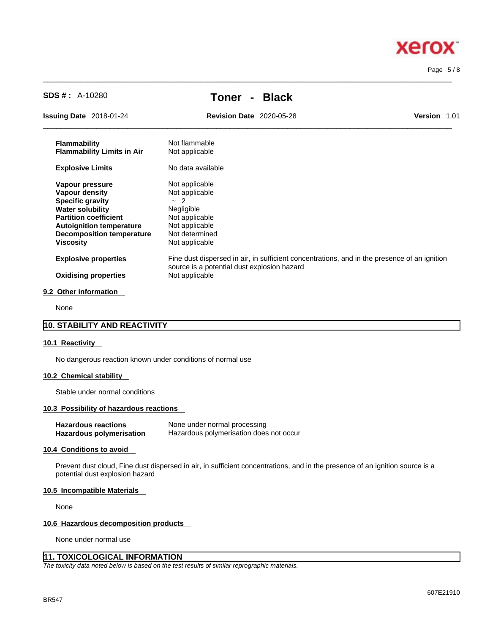

Page 5 / 8

| <b>SDS #: A-10280</b>                                                                                                                                                                                       | <b>Black</b><br>Toner<br>$\blacksquare$                                                                                                     |                     |
|-------------------------------------------------------------------------------------------------------------------------------------------------------------------------------------------------------------|---------------------------------------------------------------------------------------------------------------------------------------------|---------------------|
| <b>Issuing Date</b> 2018-01-24                                                                                                                                                                              | <b>Revision Date 2020-05-28</b>                                                                                                             | <b>Version 1.01</b> |
| <b>Flammability</b><br><b>Flammability Limits in Air</b>                                                                                                                                                    | Not flammable<br>Not applicable                                                                                                             |                     |
| <b>Explosive Limits</b>                                                                                                                                                                                     | No data available                                                                                                                           |                     |
| Vapour pressure<br>Vapour density<br><b>Specific gravity</b><br><b>Water solubility</b><br><b>Partition coefficient</b><br><b>Autoignition temperature</b><br><b>Decomposition temperature</b><br>Viscosity | Not applicable<br>Not applicable<br>$\sim$ 2<br>Negligible<br>Not applicable<br>Not applicable<br>Not determined<br>Not applicable          |                     |
| <b>Explosive properties</b>                                                                                                                                                                                 | Fine dust dispersed in air, in sufficient concentrations, and in the presence of an ignition<br>source is a potential dust explosion hazard |                     |

 $\_$  ,  $\_$  ,  $\_$  ,  $\_$  ,  $\_$  ,  $\_$  ,  $\_$  ,  $\_$  ,  $\_$  ,  $\_$  ,  $\_$  ,  $\_$  ,  $\_$  ,  $\_$  ,  $\_$  ,  $\_$  ,  $\_$  ,  $\_$  ,  $\_$  ,  $\_$  ,  $\_$  ,  $\_$  ,  $\_$  ,  $\_$  ,  $\_$  ,  $\_$  ,  $\_$  ,  $\_$  ,  $\_$  ,  $\_$  ,  $\_$  ,  $\_$  ,  $\_$  ,  $\_$  ,  $\_$  ,  $\_$  ,  $\_$  ,

None

## **10. STABILITY AND REACTIVITY**

### **10.1 Reactivity**

No dangerous reaction known under conditions of normal use

#### **10.2 Chemical stability**

Stable under normal conditions

### **10.3 Possibility of hazardous reactions**

| <b>Hazardous reactions</b> | None under normal processing            |
|----------------------------|-----------------------------------------|
| Hazardous polymerisation   | Hazardous polymerisation does not occur |

#### **10.4 Conditions to avoid**

Prevent dust cloud, Fine dust dispersed in air, in sufficient concentrations, and in the presence of an ignition source is a potential dust explosion hazard

### **10.5 Incompatible Materials**

None

#### **10.6 Hazardous decomposition products**

None under normal use

# **11. TOXICOLOGICAL INFORMATION**

*The toxicity data noted below is based on the test results of similar reprographic materials.*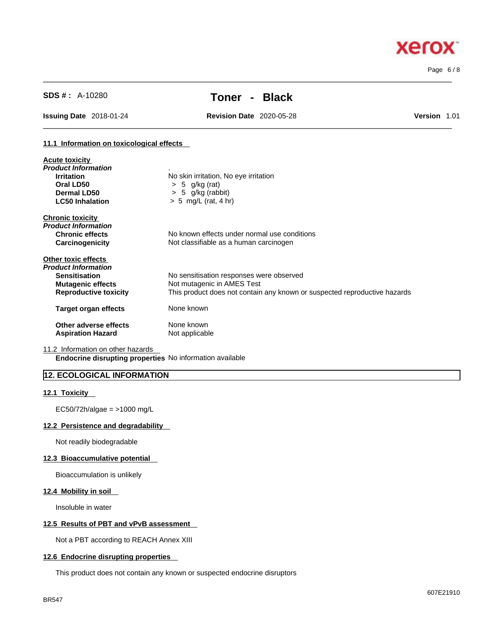# Page 6 / 8

**Xerox** 

# **SDS # :** A-10280 **Toner - Black**

 $\_$  ,  $\_$  ,  $\_$  ,  $\_$  ,  $\_$  ,  $\_$  ,  $\_$  ,  $\_$  ,  $\_$  ,  $\_$  ,  $\_$  ,  $\_$  ,  $\_$  ,  $\_$  ,  $\_$  ,  $\_$  ,  $\_$  ,  $\_$  ,  $\_$  ,  $\_$  ,  $\_$  ,  $\_$  ,  $\_$  ,  $\_$  ,  $\_$  ,  $\_$  ,  $\_$  ,  $\_$  ,  $\_$  ,  $\_$  ,  $\_$  ,  $\_$  ,  $\_$  ,  $\_$  ,  $\_$  ,  $\_$  ,  $\_$  ,

 $\_$  ,  $\_$  ,  $\_$  ,  $\_$  ,  $\_$  ,  $\_$  ,  $\_$  ,  $\_$  ,  $\_$  ,  $\_$  ,  $\_$  ,  $\_$  ,  $\_$  ,  $\_$  ,  $\_$  ,  $\_$  ,  $\_$  ,  $\_$  ,  $\_$  ,  $\_$  ,  $\_$  ,  $\_$  ,  $\_$  ,  $\_$  ,  $\_$  ,  $\_$  ,  $\_$  ,  $\_$  ,  $\_$  ,  $\_$  ,  $\_$  ,  $\_$  ,  $\_$  ,  $\_$  ,  $\_$  ,  $\_$  ,  $\_$  ,

**Issuing Date** 2018-01-24 **Revision Date** 2020-05-28 **Version** 1.01

#### **11.1 Information on toxicological effects**

| No skin irritation, No eye irritation                                     |
|---------------------------------------------------------------------------|
| $> 5$ g/kg (rat)                                                          |
| $> 5$ g/kg (rabbit)                                                       |
| $> 5$ mg/L (rat, 4 hr)                                                    |
|                                                                           |
|                                                                           |
| No known effects under normal use conditions                              |
| Not classifiable as a human carcinogen                                    |
|                                                                           |
|                                                                           |
| No sensitisation responses were observed                                  |
| Not mutagenic in AMES Test                                                |
| This product does not contain any known or suspected reproductive hazards |
| None known                                                                |
| None known<br>Not applicable                                              |
|                                                                           |

11.2 Information on other hazards

**Endocrine disrupting properties** No information available

# **12. ECOLOGICAL INFORMATION**

#### **12.1 Toxicity**

EC50/72h/algae = >1000 mg/L

# **12.2 Persistence and degradability**

Not readily biodegradable

#### **12.3 Bioaccumulative potential**

Bioaccumulation is unlikely

## **12.4 Mobility in soil**

Insoluble in water

## **12.5 Results of PBT and vPvB assessment**

Not a PBT according to REACH Annex XIII

#### **12.6 Endocrine disrupting properties**

This product does not contain any known or suspected endocrine disruptors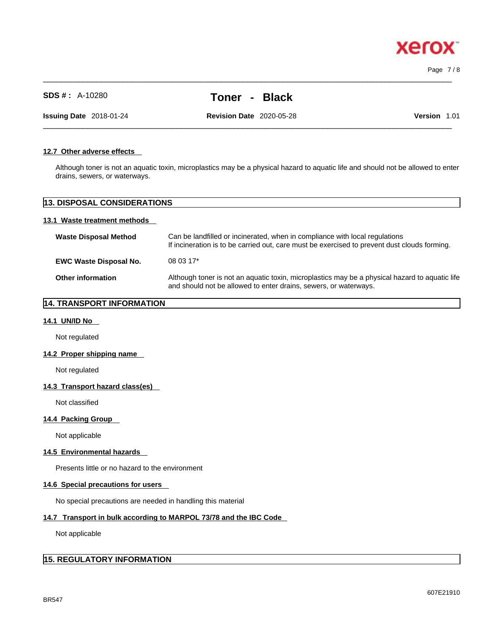**xero** 

# **SDS # :** A-10280 **Toner - Black**

 $\_$  ,  $\_$  ,  $\_$  ,  $\_$  ,  $\_$  ,  $\_$  ,  $\_$  ,  $\_$  ,  $\_$  ,  $\_$  ,  $\_$  ,  $\_$  ,  $\_$  ,  $\_$  ,  $\_$  ,  $\_$  ,  $\_$  ,  $\_$  ,  $\_$  ,  $\_$  ,  $\_$  ,  $\_$  ,  $\_$  ,  $\_$  ,  $\_$  ,  $\_$  ,  $\_$  ,  $\_$  ,  $\_$  ,  $\_$  ,  $\_$  ,  $\_$  ,  $\_$  ,  $\_$  ,  $\_$  ,  $\_$  ,  $\_$  ,

**Issuing Date** 2018-01-24 **Revision Date** 2020-05-28 **Version** 1.01

 $\_$  ,  $\_$  ,  $\_$  ,  $\_$  ,  $\_$  ,  $\_$  ,  $\_$  ,  $\_$  ,  $\_$  ,  $\_$  ,  $\_$  ,  $\_$  ,  $\_$  ,  $\_$  ,  $\_$  ,  $\_$  ,  $\_$  ,  $\_$  ,  $\_$  ,  $\_$  ,  $\_$  ,  $\_$  ,  $\_$  ,  $\_$  ,  $\_$  ,  $\_$  ,  $\_$  ,  $\_$  ,  $\_$  ,  $\_$  ,  $\_$  ,  $\_$  ,  $\_$  ,  $\_$  ,  $\_$  ,  $\_$  ,  $\_$  ,

#### **12.7 Other adverse effects**

Although toner is not an aquatic toxin, microplastics may be a physical hazard to aquatic life and should not be allowed to enter drains, sewers, or waterways.

# **13. DISPOSAL CONSIDERATIONS**

### **13.1 Waste treatment methods**

| <b>Waste Disposal Method</b>  | Can be landfilled or incinerated, when in compliance with local regulations<br>If incineration is to be carried out, care must be exercised to prevent dust clouds forming. |
|-------------------------------|-----------------------------------------------------------------------------------------------------------------------------------------------------------------------------|
| <b>EWC Waste Disposal No.</b> | $080317*$                                                                                                                                                                   |
| <b>Other information</b>      | Although toner is not an aquatic toxin, microplastics may be a physical hazard to aquatic life<br>and should not be allowed to enter drains, sewers, or waterways.          |

# **14. TRANSPORT INFORMATION**

### **14.1 UN/ID No**

Not regulated

#### **14.2 Proper shipping name**

Not regulated

#### **14.3 Transport hazard class(es)**

Not classified

## **14.4 Packing Group**

Not applicable

#### **14.5 Environmental hazards**

Presents little or no hazard to the environment

### **14.6 Special precautions for users**

No special precautions are needed in handling this material

### **14.7 Transport in bulk according to MARPOL 73/78 and the IBC Code**

Not applicable

# **15. REGULATORY INFORMATION**